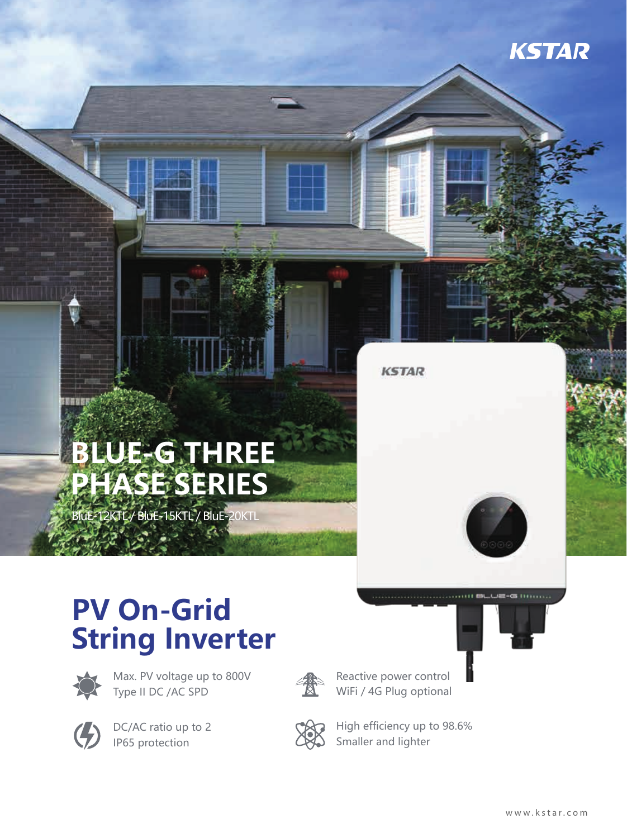

## **BLUE-G THREE PHASE SERIES**

BluE-12KTL / BluE-15KTL / BluE-20KTL

## **PV On-Grid String Inverter**



Max. PV voltage up to 800V Type II DC /AC SPD



DC/AC ratio up to 2 IP65 protection



Reactive power control WiFi / 4G Plug optional



High efficiency up to 98.6% Smaller and lighter

**KSTAR** 

 $C\mathbb{R}$  (1999)